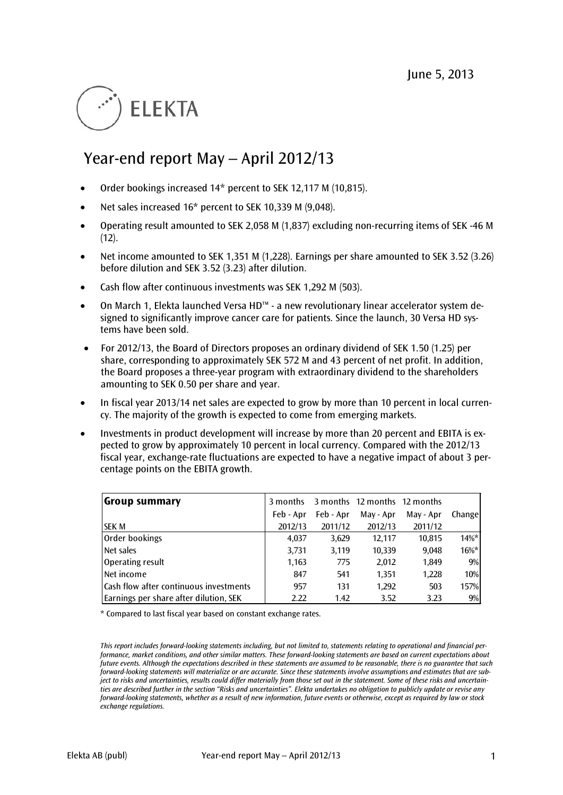# **ELEKTA**

## Year-end report May – April 2012/13

- Order bookings increased 14\* percent to SEK 12,117 M (10,815).
- Net sales increased 16\* percent to SEK 10,339 M (9,048).
- Operating result amounted to SEK 2,058 M (1,837) excluding non-recurring items of SEK -46 M  $(12)$ .
- Net income amounted to SEK 1,351 M (1,228). Earnings per share amounted to SEK 3.52 (3.26) before dilution and SEK 3.52 (3.23) after dilution.
- Cash flow after continuous investments was SEK 1,292 M (503).
- On March 1, Elekta launched Versa HD™ a new revolutionary linear accelerator system designed to significantly improve cancer care for patients. Since the launch, 30 Versa HD systems have been sold.
- For 2012/13, the Board of Directors proposes an ordinary dividend of SEK 1.50 (1.25) per share, corresponding to approximately SEK 572 M and 43 percent of net profit. In addition, the Board proposes a three-year program with extraordinary dividend to the shareholders amounting to SEK 0.50 per share and year.
- In fiscal year 2013/14 net sales are expected to grow by more than 10 percent in local currency. The majority of the growth is expected to come from emerging markets.
- Investments in product development will increase by more than 20 percent and EBITA is expected to grow by approximately 10 percent in local currency. Compared with the 2012/13 fiscal year, exchange-rate fluctuations are expected to have a negative impact of about 3 percentage points on the EBITA growth.

| Group summary                          | 3 months  |           | 3 months 12 months 12 months |           |          |
|----------------------------------------|-----------|-----------|------------------------------|-----------|----------|
|                                        | Feb - Apr | Feb - Apr | May - Apr                    | May - Apr | Change   |
| <b>SEK M</b>                           | 2012/13   | 2011/12   | 2012/13                      | 2011/12   |          |
| Order bookings                         | 4,037     | 3,629     | 12.117                       | 10,815    | $14\%$ * |
| Net sales                              | 3,731     | 3,119     | 10,339                       | 9,048     | $16\%*$  |
| Operating result                       | 1,163     | 775       | 2,012                        | 1,849     | 9%       |
| Net income                             | 847       | 541       | 1,351                        | 1,228     | 10%      |
| Cash flow after continuous investments | 957       | 131       | 1,292                        | 503       | 157%     |
| Earnings per share after dilution, SEK | 2.22      | 1.42      | 3.52                         | 3.23      | 9%       |

\* Compared to last fiscal year based on constant exchange rates.

*This report includes forward-looking statements including, but not limited to, statements relating to operational and financial performance, market conditions, and other similar matters. These forward-looking statements are based on current expectations about future events. Although the expectations described in these statements are assumed to be reasonable, there is no guarantee that such forward-looking statements will materialize or are accurate. Since these statements involve assumptions and estimates that are subject to risks and uncertainties, results could differ materially from those set out in the statement. Some of these risks and uncertainties are described further in the section "Risks and uncertainties". Elekta undertakes no obligation to publicly update or revise any forward-looking statements, whether as a result of new information, future events or otherwise, except as required by law or stock exchange regulations.*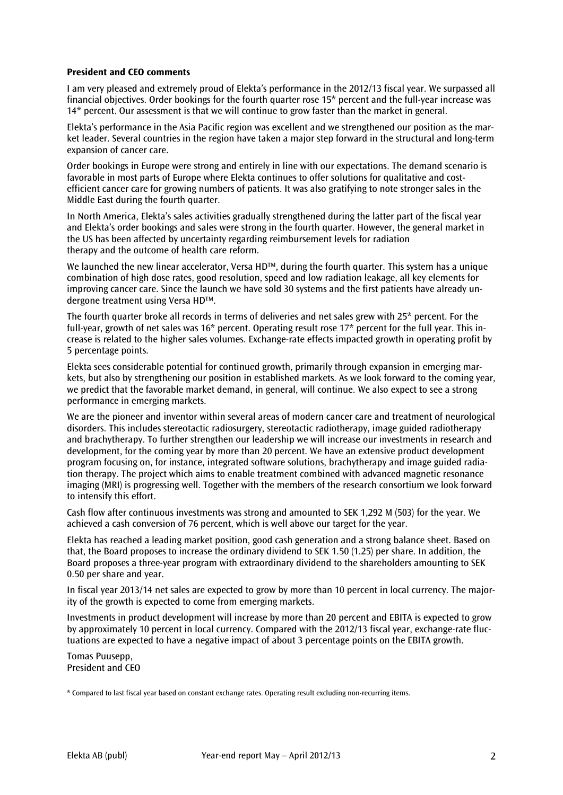#### **President and CEO comments**

I am very pleased and extremely proud of Elekta's performance in the 2012/13 fiscal year. We surpassed all financial objectives. Order bookings for the fourth quarter rose 15\* percent and the full-year increase was 14\* percent. Our assessment is that we will continue to grow faster than the market in general.

Elekta's performance in the Asia Pacific region was excellent and we strengthened our position as the market leader. Several countries in the region have taken a major step forward in the structural and long-term expansion of cancer care.

Order bookings in Europe were strong and entirely in line with our expectations. The demand scenario is favorable in most parts of Europe where Elekta continues to offer solutions for qualitative and costefficient cancer care for growing numbers of patients. It was also gratifying to note stronger sales in the Middle East during the fourth quarter.

In North America, Elekta's sales activities gradually strengthened during the latter part of the fiscal year and Elekta's order bookings and sales were strong in the fourth quarter. However, the general market in the US has been affected by uncertainty regarding reimbursement levels for radiation therapy and the outcome of health care reform.

We launched the new linear accelerator, Versa HD<sup>TM</sup>, during the fourth quarter. This system has a unique combination of high dose rates, good resolution, speed and low radiation leakage, all key elements for improving cancer care. Since the launch we have sold 30 systems and the first patients have already undergone treatment using Versa HD™.

The fourth quarter broke all records in terms of deliveries and net sales grew with 25\* percent. For the full-year, growth of net sales was 16\* percent. Operating result rose 17\* percent for the full year. This increase is related to the higher sales volumes. Exchange-rate effects impacted growth in operating profit by 5 percentage points.

Elekta sees considerable potential for continued growth, primarily through expansion in emerging markets, but also by strengthening our position in established markets. As we look forward to the coming year, we predict that the favorable market demand, in general, will continue. We also expect to see a strong performance in emerging markets.

We are the pioneer and inventor within several areas of modern cancer care and treatment of neurological disorders. This includes stereotactic radiosurgery, stereotactic radiotherapy, image guided radiotherapy and brachytherapy. To further strengthen our leadership we will increase our investments in research and development, for the coming year by more than 20 percent. We have an extensive product development program focusing on, for instance, integrated software solutions, brachytherapy and image guided radiation therapy. The project which aims to enable treatment combined with advanced magnetic resonance imaging (MRI) is progressing well. Together with the members of the research consortium we look forward to intensify this effort.

Cash flow after continuous investments was strong and amounted to SEK 1,292 M (503) for the year. We achieved a cash conversion of 76 percent, which is well above our target for the year.

Elekta has reached a leading market position, good cash generation and a strong balance sheet. Based on that, the Board proposes to increase the ordinary dividend to SEK 1.50 (1.25) per share. In addition, the Board proposes a three-year program with extraordinary dividend to the shareholders amounting to SEK 0.50 per share and year.

In fiscal year 2013/14 net sales are expected to grow by more than 10 percent in local currency. The majority of the growth is expected to come from emerging markets.

Investments in product development will increase by more than 20 percent and EBITA is expected to grow by approximately 10 percent in local currency. Compared with the 2012/13 fiscal year, exchange-rate fluctuations are expected to have a negative impact of about 3 percentage points on the EBITA growth.

Tomas Puusepp, President and CEO

\* Compared to last fiscal year based on constant exchange rates. Operating result excluding non-recurring items.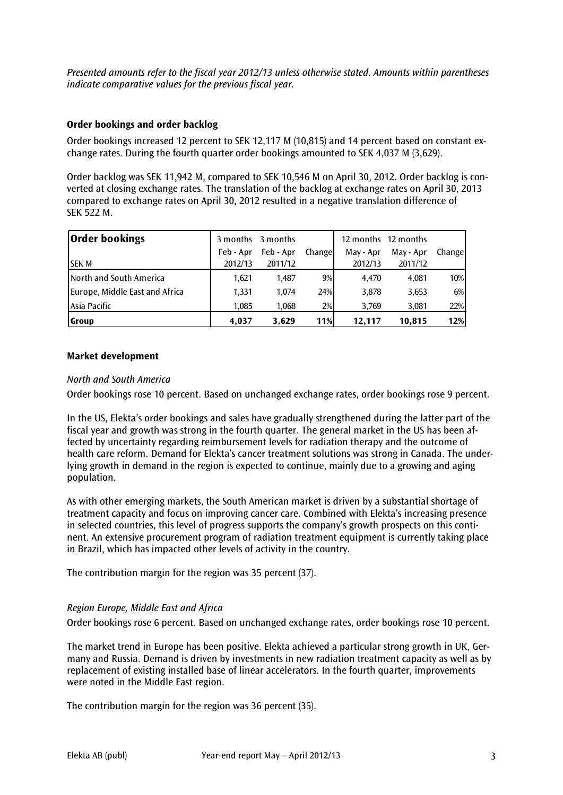*Presented amounts refer to the fiscal year 2012/13 unless otherwise stated. Amounts within parentheses indicate comparative values for the previous fiscal year.* 

#### **Order bookings and order backlog**

Order bookings increased 12 percent to SEK 12,117 M (10,815) and 14 percent based on constant exchange rates. During the fourth quarter order bookings amounted to SEK 4,037 M (3,629).

Order backlog was SEK 11,942 M, compared to SEK 10,546 M on April 30, 2012. Order backlog is converted at closing exchange rates. The translation of the backlog at exchange rates on April 30, 2013 compared to exchange rates on April 30, 2012 resulted in a negative translation difference of SEK 522 M.

| <b>Order bookings</b>           |           | 3 months 3 months |         |           | 12 months 12 months |         |
|---------------------------------|-----------|-------------------|---------|-----------|---------------------|---------|
|                                 | Feb - Apr | Feb - Apr         | Changel | May - Apr | May - Apr           | Changel |
| <b>ISEK M</b>                   | 2012/13   | 2011/12           |         | 2012/13   | 2011/12             |         |
| <b>INorth and South America</b> | 1.621     | 1.487             | 9%      | 4.470     | 4.081               | 10%     |
| Europe, Middle East and Africa  | 1.331     | 1.074             | 24%     | 3,878     | 3,653               | 6%      |
| Asia Pacific                    | 1,085     | 1,068             | 2%      | 3,769     | 3,081               | 22%     |
| <b>Group</b>                    | 4,037     | 3,629             | 11%     | 12,117    | 10.815              | 12%     |

#### **Market development**

#### *North and South America*

Order bookings rose 10 percent. Based on unchanged exchange rates, order bookings rose 9 percent.

In the US, Elekta's order bookings and sales have gradually strengthened during the latter part of the fiscal year and growth was strong in the fourth quarter. The general market in the US has been affected by uncertainty regarding reimbursement levels for radiation therapy and the outcome of health care reform. Demand for Elekta's cancer treatment solutions was strong in Canada. The underlying growth in demand in the region is expected to continue, mainly due to a growing and aging population.

As with other emerging markets, the South American market is driven by a substantial shortage of treatment capacity and focus on improving cancer care. Combined with Elekta's increasing presence in selected countries, this level of progress supports the company's growth prospects on this continent. An extensive procurement program of radiation treatment equipment is currently taking place in Brazil, which has impacted other levels of activity in the country.

The contribution margin for the region was 35 percent (37).

#### *Region Europe, Middle East and Africa*

Order bookings rose 6 percent. Based on unchanged exchange rates, order bookings rose 10 percent.

The market trend in Europe has been positive. Elekta achieved a particular strong growth in UK, Germany and Russia. Demand is driven by investments in new radiation treatment capacity as well as by replacement of existing installed base of linear accelerators. In the fourth quarter, improvements were noted in the Middle East region.

The contribution margin for the region was 36 percent (35).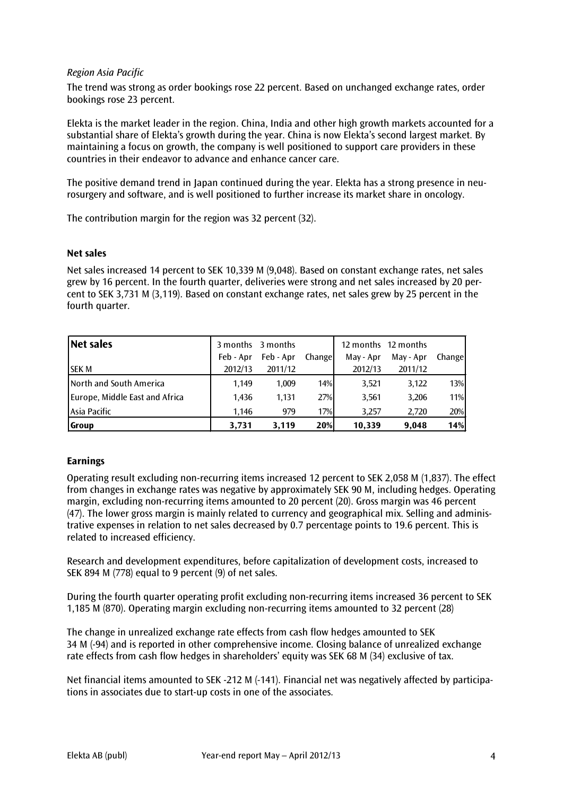#### *Region Asia Pacific*

The trend was strong as order bookings rose 22 percent. Based on unchanged exchange rates, order bookings rose 23 percent.

Elekta is the market leader in the region. China, India and other high growth markets accounted for a substantial share of Elekta's growth during the year. China is now Elekta's second largest market. By maintaining a focus on growth, the company is well positioned to support care providers in these countries in their endeavor to advance and enhance cancer care.

The positive demand trend in Japan continued during the year. Elekta has a strong presence in neurosurgery and software, and is well positioned to further increase its market share in oncology.

The contribution margin for the region was 32 percent (32).

#### **Net sales**

Net sales increased 14 percent to SEK 10,339 M (9,048). Based on constant exchange rates, net sales grew by 16 percent. In the fourth quarter, deliveries were strong and net sales increased by 20 percent to SEK 3,731 M (3,119). Based on constant exchange rates, net sales grew by 25 percent in the fourth quarter.

| Net sales                      |           | 3 months 3 months |        |           | 12 months 12 months |        |
|--------------------------------|-----------|-------------------|--------|-----------|---------------------|--------|
|                                | Feb - Apr | Feb - Apr         | Change | May - Apr | May - Apr           | Change |
| <b>SEK M</b>                   | 2012/13   | 2011/12           |        | 2012/13   | 2011/12             |        |
| North and South America        | 1.149     | 1,009             | 14%    | 3,521     | 3,122               | 13%    |
| Europe, Middle East and Africa | 1,436     | 1.131             | 27%    | 3,561     | 3,206               | 11%    |
| LAsia Pacific                  | 1.146     | 979               | 17%    | 3.257     | 2.720               | 20%    |
| <b>Group</b>                   | 3.731     | 3.119             | 20%    | 10,339    | 9,048               | 14%    |

#### **Earnings**

Operating result excluding non-recurring items increased 12 percent to SEK 2,058 M (1,837). The effect from changes in exchange rates was negative by approximately SEK 90 M, including hedges. Operating margin, excluding non-recurring items amounted to 20 percent (20). Gross margin was 46 percent (47). The lower gross margin is mainly related to currency and geographical mix. Selling and administrative expenses in relation to net sales decreased by 0.7 percentage points to 19.6 percent. This is related to increased efficiency.

Research and development expenditures, before capitalization of development costs, increased to SEK 894 M (778) equal to 9 percent (9) of net sales.

During the fourth quarter operating profit excluding non-recurring items increased 36 percent to SEK 1,185 M (870). Operating margin excluding non-recurring items amounted to 32 percent (28)

The change in unrealized exchange rate effects from cash flow hedges amounted to SEK 34 M (-94) and is reported in other comprehensive income. Closing balance of unrealized exchange rate effects from cash flow hedges in shareholders' equity was SEK 68 M (34) exclusive of tax.

Net financial items amounted to SEK -212 M (-141). Financial net was negatively affected by participations in associates due to start-up costs in one of the associates.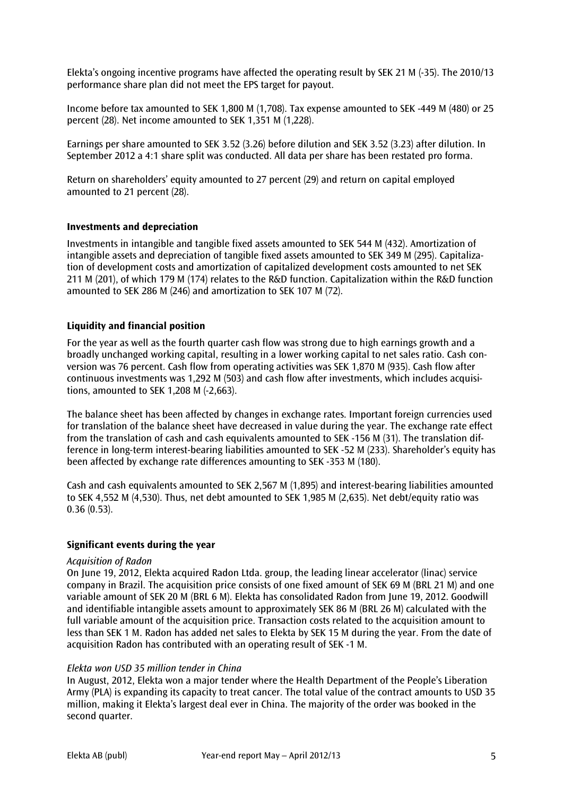Elekta's ongoing incentive programs have affected the operating result by SEK 21 M (-35). The 2010/13 performance share plan did not meet the EPS target for payout.

Income before tax amounted to SEK 1,800 M (1,708). Tax expense amounted to SEK -449 M (480) or 25 percent (28). Net income amounted to SEK 1,351 M (1,228).

Earnings per share amounted to SEK 3.52 (3.26) before dilution and SEK 3.52 (3.23) after dilution. In September 2012 a 4:1 share split was conducted. All data per share has been restated pro forma.

Return on shareholders' equity amounted to 27 percent (29) and return on capital employed amounted to 21 percent (28).

#### **Investments and depreciation**

Investments in intangible and tangible fixed assets amounted to SEK 544 M (432). Amortization of intangible assets and depreciation of tangible fixed assets amounted to SEK 349 M (295). Capitalization of development costs and amortization of capitalized development costs amounted to net SEK 211 M (201), of which 179 M (174) relates to the R&D function. Capitalization within the R&D function amounted to SEK 286 M (246) and amortization to SEK 107 M (72).

#### **Liquidity and financial position**

For the year as well as the fourth quarter cash flow was strong due to high earnings growth and a broadly unchanged working capital, resulting in a lower working capital to net sales ratio. Cash conversion was 76 percent. Cash flow from operating activities was SEK 1,870 M (935). Cash flow after continuous investments was 1,292 M (503) and cash flow after investments, which includes acquisitions, amounted to SEK 1,208 M (-2,663).

The balance sheet has been affected by changes in exchange rates. Important foreign currencies used for translation of the balance sheet have decreased in value during the year. The exchange rate effect from the translation of cash and cash equivalents amounted to SEK -156 M (31). The translation difference in long-term interest-bearing liabilities amounted to SEK -52 M (233). Shareholder's equity has been affected by exchange rate differences amounting to SEK -353 M (180).

Cash and cash equivalents amounted to SEK 2,567 M (1,895) and interest-bearing liabilities amounted to SEK 4,552 M (4,530). Thus, net debt amounted to SEK 1,985 M (2,635). Net debt/equity ratio was 0.36 (0.53).

#### **Significant events during the year**

#### *Acquisition of Radon*

On June 19, 2012, Elekta acquired Radon Ltda. group, the leading linear accelerator (linac) service company in Brazil. The acquisition price consists of one fixed amount of SEK 69 M (BRL 21 M) and one variable amount of SEK 20 M (BRL 6 M). Elekta has consolidated Radon from June 19, 2012. Goodwill and identifiable intangible assets amount to approximately SEK 86 M (BRL 26 M) calculated with the full variable amount of the acquisition price. Transaction costs related to the acquisition amount to less than SEK 1 M. Radon has added net sales to Elekta by SEK 15 M during the year. From the date of acquisition Radon has contributed with an operating result of SEK -1 M.

#### *Elekta won USD 35 million tender in China*

In August, 2012, Elekta won a major tender where the Health Department of the People's Liberation Army (PLA) is expanding its capacity to treat cancer. The total value of the contract amounts to USD 35 million, making it Elekta's largest deal ever in China. The majority of the order was booked in the second quarter.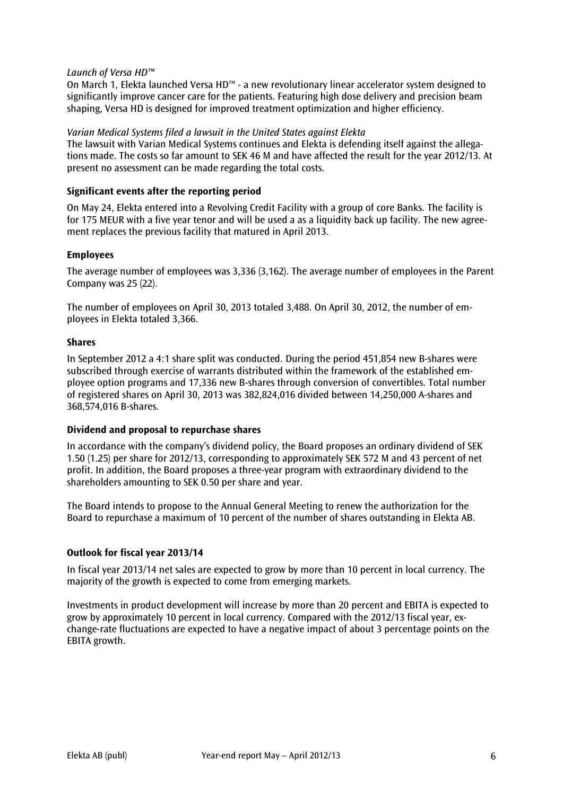#### *Launch of Versa HD™*

On March 1, Elekta launched Versa HD™ - a new revolutionary linear accelerator system designed to significantly improve cancer care for the patients. Featuring high dose delivery and precision beam shaping, Versa HD is designed for improved treatment optimization and higher efficiency.

#### *Varian Medical Systems filed a lawsuit in the United States against Elekta*

The lawsuit with Varian Medical Systems continues and Elekta is defending itself against the allegations made. The costs so far amount to SEK 46 M and have affected the result for the year 2012/13. At present no assessment can be made regarding the total costs.

#### **Significant events after the reporting period**

On May 24, Elekta entered into a Revolving Credit Facility with a group of core Banks. The facility is for 175 MEUR with a five year tenor and will be used a as a liquidity back up facility. The new agreement replaces the previous facility that matured in April 2013.

#### **Employees**

The average number of employees was 3,336 (3,162). The average number of employees in the Parent Company was 25 (22).

The number of employees on April 30, 2013 totaled 3,488. On April 30, 2012, the number of employees in Elekta totaled 3,366.

#### **Shares**

In September 2012 a 4:1 share split was conducted. During the period 451,854 new B-shares were subscribed through exercise of warrants distributed within the framework of the established employee option programs and 17,336 new B-shares through conversion of convertibles. Total number of registered shares on April 30, 2013 was 382,824,016 divided between 14,250,000 A-shares and 368,574,016 B-shares.

#### **Dividend and proposal to repurchase shares**

In accordance with the company's dividend policy, the Board proposes an ordinary dividend of SEK 1.50 (1.25) per share for 2012/13, corresponding to approximately SEK 572 M and 43 percent of net profit. In addition, the Board proposes a three-year program with extraordinary dividend to the shareholders amounting to SEK 0.50 per share and year.

The Board intends to propose to the Annual General Meeting to renew the authorization for the Board to repurchase a maximum of 10 percent of the number of shares outstanding in Elekta AB.

#### **Outlook for fiscal year 2013/14**

In fiscal year 2013/14 net sales are expected to grow by more than 10 percent in local currency. The majority of the growth is expected to come from emerging markets.

Investments in product development will increase by more than 20 percent and EBITA is expected to grow by approximately 10 percent in local currency. Compared with the 2012/13 fiscal year, exchange-rate fluctuations are expected to have a negative impact of about 3 percentage points on the EBITA growth.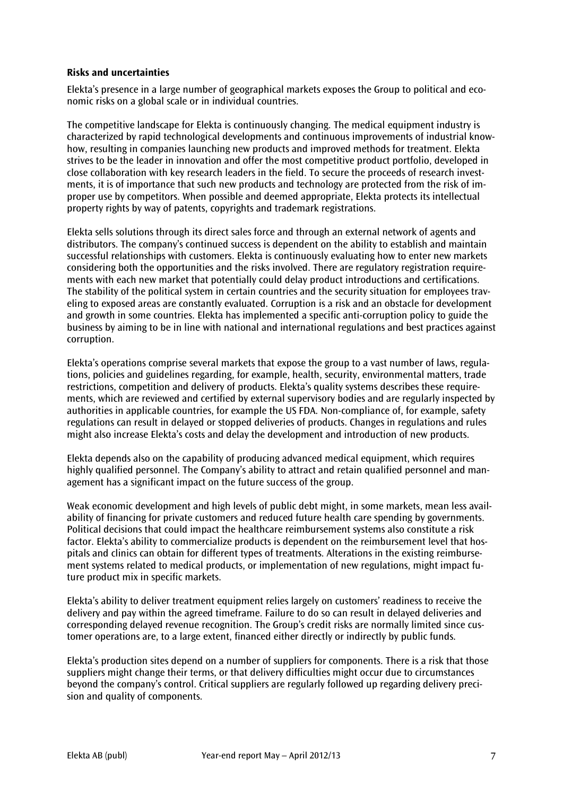#### **Risks and uncertainties**

Elekta's presence in a large number of geographical markets exposes the Group to political and economic risks on a global scale or in individual countries.

The competitive landscape for Elekta is continuously changing. The medical equipment industry is characterized by rapid technological developments and continuous improvements of industrial knowhow, resulting in companies launching new products and improved methods for treatment. Elekta strives to be the leader in innovation and offer the most competitive product portfolio, developed in close collaboration with key research leaders in the field. To secure the proceeds of research investments, it is of importance that such new products and technology are protected from the risk of improper use by competitors. When possible and deemed appropriate, Elekta protects its intellectual property rights by way of patents, copyrights and trademark registrations.

Elekta sells solutions through its direct sales force and through an external network of agents and distributors. The company's continued success is dependent on the ability to establish and maintain successful relationships with customers. Elekta is continuously evaluating how to enter new markets considering both the opportunities and the risks involved. There are regulatory registration requirements with each new market that potentially could delay product introductions and certifications. The stability of the political system in certain countries and the security situation for employees traveling to exposed areas are constantly evaluated. Corruption is a risk and an obstacle for development and growth in some countries. Elekta has implemented a specific anti-corruption policy to guide the business by aiming to be in line with national and international regulations and best practices against corruption.

Elekta's operations comprise several markets that expose the group to a vast number of laws, regulations, policies and guidelines regarding, for example, health, security, environmental matters, trade restrictions, competition and delivery of products. Elekta's quality systems describes these requirements, which are reviewed and certified by external supervisory bodies and are regularly inspected by authorities in applicable countries, for example the US FDA. Non-compliance of, for example, safety regulations can result in delayed or stopped deliveries of products. Changes in regulations and rules might also increase Elekta's costs and delay the development and introduction of new products.

Elekta depends also on the capability of producing advanced medical equipment, which requires highly qualified personnel. The Company's ability to attract and retain qualified personnel and management has a significant impact on the future success of the group.

Weak economic development and high levels of public debt might, in some markets, mean less availability of financing for private customers and reduced future health care spending by governments. Political decisions that could impact the healthcare reimbursement systems also constitute a risk factor. Elekta's ability to commercialize products is dependent on the reimbursement level that hospitals and clinics can obtain for different types of treatments. Alterations in the existing reimbursement systems related to medical products, or implementation of new regulations, might impact future product mix in specific markets.

Elekta's ability to deliver treatment equipment relies largely on customers' readiness to receive the delivery and pay within the agreed timeframe. Failure to do so can result in delayed deliveries and corresponding delayed revenue recognition. The Group's credit risks are normally limited since customer operations are, to a large extent, financed either directly or indirectly by public funds.

Elekta's production sites depend on a number of suppliers for components. There is a risk that those suppliers might change their terms, or that delivery difficulties might occur due to circumstances beyond the company's control. Critical suppliers are regularly followed up regarding delivery precision and quality of components.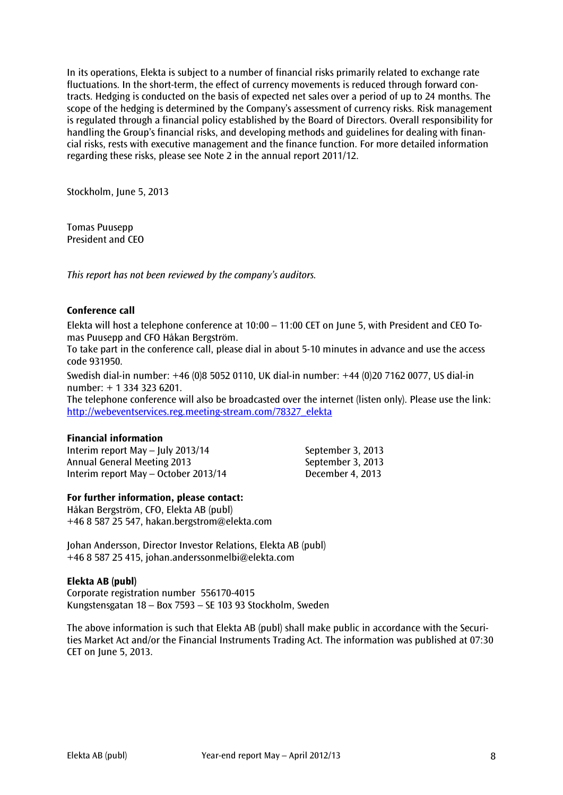In its operations, Elekta is subject to a number of financial risks primarily related to exchange rate fluctuations. In the short-term, the effect of currency movements is reduced through forward contracts. Hedging is conducted on the basis of expected net sales over a period of up to 24 months. The scope of the hedging is determined by the Company's assessment of currency risks. Risk management is regulated through a financial policy established by the Board of Directors. Overall responsibility for handling the Group's financial risks, and developing methods and guidelines for dealing with financial risks, rests with executive management and the finance function. For more detailed information regarding these risks, please see Note 2 in the annual report 2011/12.

Stockholm, June 5, 2013

Tomas Puusepp President and CEO

*This report has not been reviewed by the company's auditors.*

#### **Conference call**

Elekta will host a telephone conference at 10:00 – 11:00 CET on June 5, with President and CEO Tomas Puusepp and CFO Håkan Bergström.

To take part in the conference call, please dial in about 5-10 minutes in advance and use the access code 931950.

Swedish dial-in number: +46 (0)8 5052 0110, UK dial-in number: +44 (0)20 7162 0077, US dial-in number: + 1 334 323 6201.

The telephone conference will also be broadcasted over the internet (listen only). Please use the link: [http://webeventservices.reg.meeting-stream.com/78327\\_elekta](http://webeventservices.reg.meeting-stream.com/78327_elekta)

#### **Financial information**

Interim report May – July 2013/14 September 3, 2013 Annual General Meeting 2013 September 3, 2013 Interim report May – October 2013/14 December 4, 2013

#### **For further information, please contact:**

Håkan Bergström, CFO, Elekta AB (publ) +46 8 587 25 547, hakan.bergstrom@elekta.com

Johan Andersson, Director Investor Relations, Elekta AB (publ) +46 8 587 25 415, [johan.anderssonmelbi@elekta.com](mailto:johan.anderssonmelbi@elekta.com)

#### **Elekta AB (publ)**

Corporate registration number 556170-4015 Kungstensgatan 18 – Box 7593 – SE 103 93 Stockholm, Sweden

The above information is such that Elekta AB (publ) shall make public in accordance with the Securities Market Act and/or the Financial Instruments Trading Act. The information was published at 07:30 CET on June 5, 2013.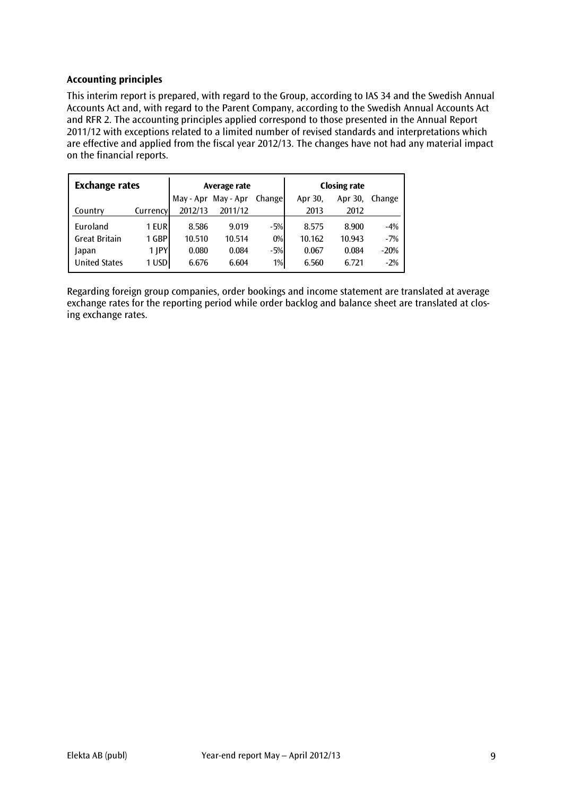#### **Accounting principles**

This interim report is prepared, with regard to the Group, according to IAS 34 and the Swedish Annual Accounts Act and, with regard to the Parent Company, according to the Swedish Annual Accounts Act and RFR 2. The accounting principles applied correspond to those presented in the Annual Report 2011/12 with exceptions related to a limited number of revised standards and interpretations which are effective and applied from the fiscal year 2012/13. The changes have not had any material impact on the financial reports.

| <b>Exchange rates</b> |            |           | Average rate |               | <b>Closing rate</b> |         |        |  |
|-----------------------|------------|-----------|--------------|---------------|---------------------|---------|--------|--|
|                       |            | May - Apr | May - Apr    | <b>Change</b> | Apr 30,             | Apr 30, | Change |  |
| Country               | Currency   | 2012/13   | 2011/12      |               | 2013                | 2012    |        |  |
| Euroland              | 1 EUR      | 8.586     | 9.019        | $-5%$         | 8.575               | 8.900   | $-4%$  |  |
| <b>Great Britain</b>  | 1 GBP      | 10.510    | 10.514       | $0\%$         | 10.162              | 10.943  | $-7%$  |  |
| Japan                 | $1$ $ PY $ | 0.080     | 0.084        | $-5%$         | 0.067               | 0.084   | $-20%$ |  |
| <b>United States</b>  | 1 USD      | 6.676     | 6.604        | 1%            | 6.560               | 6.721   | $-2%$  |  |

Regarding foreign group companies, order bookings and income statement are translated at average exchange rates for the reporting period while order backlog and balance sheet are translated at closing exchange rates.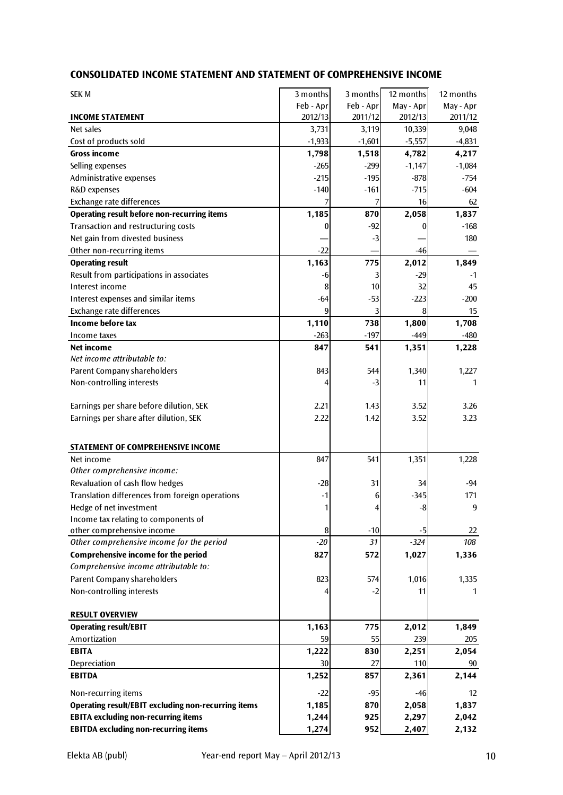#### **CONSOLIDATED INCOME STATEMENT AND STATEMENT OF COMPREHENSIVE INCOME**

| <b>SEK M</b>                                        | 3 months     | 3 months  | 12 months    | 12 months         |
|-----------------------------------------------------|--------------|-----------|--------------|-------------------|
|                                                     | Feb - Apr    | Feb - Apr | May - Apr    | May - Apr         |
| <b>INCOME STATEMENT</b>                             | 2012/13      | 2011/12   | 2012/13      | 2011/12           |
| Net sales                                           | 3,731        | 3,119     | 10,339       | 9,048             |
| Cost of products sold                               | $-1,933$     | $-1,601$  | $-5,557$     | $-4,831$          |
| <b>Gross income</b>                                 | 1,798        | 1,518     | 4,782        | 4,217             |
| Selling expenses                                    | $-265$       | $-299$    | $-1,147$     | $-1,084$          |
| Administrative expenses                             | $-215$       | $-195$    | $-878$       | $-754$            |
| R&D expenses                                        | $-140$       | $-161$    | $-715$       | $-604$            |
| Exchange rate differences                           | 7            | 7         | 16           | 62                |
| <b>Operating result before non-recurring items</b>  | 1,185        | 870       | 2,058        | 1,837             |
| Transaction and restructuring costs                 | 0            | $-92$     | 0            | $-168$            |
| Net gain from divested business                     |              | $-3$      |              | 180               |
| Other non-recurring items                           | $-22$        |           | $-46$        |                   |
| <b>Operating result</b>                             | 1,163        | 775       | 2,012        | 1,849             |
| Result from participations in associates            | -6           | 3         | $-29$        | $-1$              |
| Interest income                                     | 8            | 10        | 32           | 45                |
| Interest expenses and similar items                 | $-64$        | $-53$     | $-223$       | $-200$            |
| Exchange rate differences                           | 9            | 3         | 8            | 15                |
| Income before tax                                   | 1,110        | 738       | 1,800        | 1,708             |
| Income taxes                                        | $-263$       | $-197$    | $-449$       | -480              |
| Net income                                          | 847          | 541       | 1,351        | 1,228             |
| Net income attributable to:                         |              |           |              |                   |
| Parent Company shareholders                         | 843          | 544       | 1,340        | 1,227             |
| Non-controlling interests                           | 4            | $-3$      | 11           | 1                 |
|                                                     |              |           |              |                   |
| Earnings per share before dilution, SEK             | 2.21         | 1.43      | 3.52         | 3.26              |
| Earnings per share after dilution, SEK              | 2.22         | 1.42      | 3.52         | 3.23              |
|                                                     |              |           |              |                   |
| STATEMENT OF COMPREHENSIVE INCOME                   |              |           |              |                   |
| Net income                                          | 847          | 541       | 1,351        | 1,228             |
| Other comprehensive income:                         |              |           |              |                   |
| Revaluation of cash flow hedges                     | $-28$        | 31        | 34           | -94               |
| Translation differences from foreign operations     | $-1$         | 6         | $-345$       | 171               |
| Hedge of net investment                             | $\mathbf{1}$ | 4         | -81          | 9                 |
| Income tax relating to components of                |              |           |              |                   |
| other comprehensive income                          | 8            | $-10$     | $-5$         | 22                |
| Other comprehensive income for the period           | $-20$        | 31        | $-324$       | 108               |
| Comprehensive income for the period                 | 827          | 572       | 1,027        | 1,336             |
| Comprehensive income attributable to:               |              |           |              |                   |
| Parent Company shareholders                         | 823          | 574       | 1,016        | 1,335             |
| Non-controlling interests                           | 4            | $-2$      | 11           | 1                 |
|                                                     |              |           |              |                   |
| <b>RESULT OVERVIEW</b>                              |              |           |              |                   |
| <b>Operating result/EBIT</b>                        | 1,163        | 775       | 2,012        | 1,849             |
| Amortization<br><b>EBITA</b>                        | 59           | 55<br>830 | 239          | 205               |
|                                                     | 1,222        |           | 2,251        | 2,054             |
| Depreciation<br><b>EBITDA</b>                       | 30<br>1,252  | 27<br>857 | 110<br>2,361 | 90<br>2,144       |
|                                                     |              |           |              |                   |
| Non-recurring items                                 | $-22$        | $-95$     | -46          | $12 \overline{ }$ |
| Operating result/EBIT excluding non-recurring items | 1,185        | 870       | 2,058        | 1,837             |
| <b>EBITA excluding non-recurring items</b>          | 1,244        | 925       | 2,297        | 2,042             |
| <b>EBITDA excluding non-recurring items</b>         | 1,274        | 952       | 2,407        | 2,132             |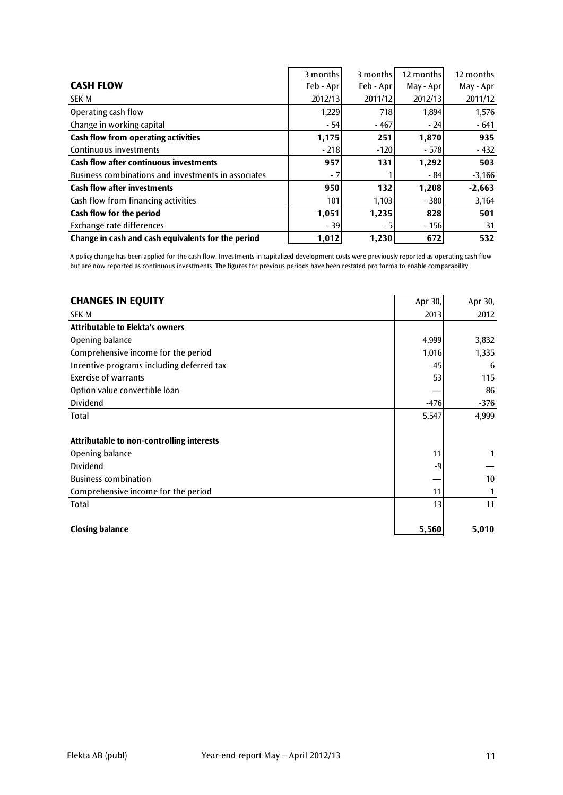|                                                     | 3 months  | 3 months  | 12 months | 12 months |
|-----------------------------------------------------|-----------|-----------|-----------|-----------|
| <b>CASH FLOW</b>                                    | Feb - Apr | Feb - Apr | May - Apr | May - Apr |
| <b>SEK M</b>                                        | 2012/13   | 2011/12   | 2012/13   | 2011/12   |
| Operating cash flow                                 | 1,229     | 718       | 1,894     | 1,576     |
| Change in working capital                           | $-54$     | $-467$    | $-24$     | $-641$    |
| Cash flow from operating activities                 | 1,175     | 251       | 1,870     | 935       |
| Continuous investments                              | $-218$    | $-120$    | $-578$    | $-432$    |
| <b>Cash flow after continuous investments</b>       | 957       | 131       | 1,292     | 503       |
| Business combinations and investments in associates | - 7       |           | $-84$     | $-3,166$  |
| <b>Cash flow after investments</b>                  | 950       | 132       | 1,208     | $-2,663$  |
| Cash flow from financing activities                 | 101       | 1,103     | $-380$    | 3,164     |
| Cash flow for the period                            | 1,051     | 1,235     | 828       | 501       |
| Exchange rate differences                           | $-39$     | - 51      | $-156$    | 31        |
| Change in cash and cash equivalents for the period  | 1,012     | 1,230     | 672       | 532       |

A policy change has been applied for the cash flow. Investments in capitalized development costs were previously reported as operating cash flow but are now reported as continuous investments. The figures for previous periods have been restated pro forma to enable comparability.

| <b>CHANGES IN EQUITY</b>                  | Apr 30, | Apr 30, |
|-------------------------------------------|---------|---------|
| <b>SEK M</b>                              | 2013    | 2012    |
| <b>Attributable to Elekta's owners</b>    |         |         |
| Opening balance                           | 4,999   | 3,832   |
| Comprehensive income for the period       | 1,016   | 1,335   |
| Incentive programs including deferred tax | -45     | 6       |
| <b>Exercise of warrants</b>               | 53      | 115     |
| Option value convertible loan             |         | 86      |
| Dividend                                  | $-476$  | $-376$  |
| Total                                     | 5,547   | 4,999   |
|                                           |         |         |
| Attributable to non-controlling interests |         |         |
| Opening balance                           | 11      |         |
| <b>Dividend</b>                           | -9      |         |
| <b>Business combination</b>               |         | 10      |
| Comprehensive income for the period       | 11      | 1       |
| Total                                     | 13      | 11      |
|                                           |         |         |
| <b>Closing balance</b>                    | 5,560   | 5,010   |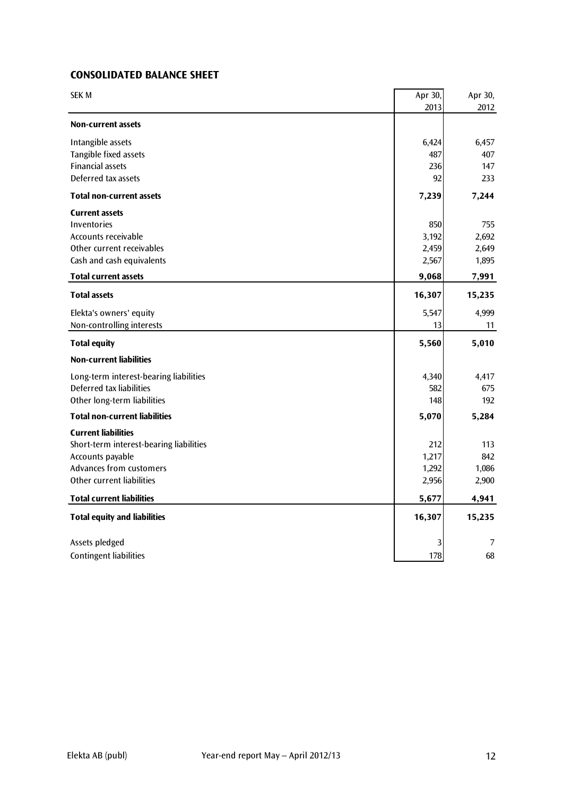### **CONSOLIDATED BALANCE SHEET**

| <b>SEK M</b>                            | Apr 30, | Apr 30, |
|-----------------------------------------|---------|---------|
|                                         | 2013    | 2012    |
| <b>Non-current assets</b>               |         |         |
| Intangible assets                       | 6,424   | 6,457   |
| Tangible fixed assets                   | 487     | 407     |
| <b>Financial assets</b>                 | 236     | 147     |
| Deferred tax assets                     | 92      | 233     |
| Total non-current assets                | 7,239   | 7,244   |
| <b>Current assets</b>                   |         |         |
| <b>Inventories</b>                      | 850     | 755     |
| Accounts receivable                     | 3,192   | 2,692   |
| Other current receivables               | 2,459   | 2,649   |
| Cash and cash equivalents               | 2,567   | 1,895   |
| <b>Total current assets</b>             | 9,068   | 7,991   |
| <b>Total assets</b>                     | 16,307  | 15,235  |
| Elekta's owners' equity                 | 5,547   | 4,999   |
| Non-controlling interests               | 13      | 11      |
| <b>Total equity</b>                     | 5,560   | 5,010   |
| <b>Non-current liabilities</b>          |         |         |
| Long-term interest-bearing liabilities  | 4,340   | 4,417   |
| Deferred tax liabilities                | 582     | 675     |
| Other long-term liabilities             | 148     | 192     |
| <b>Total non-current liabilities</b>    | 5,070   | 5,284   |
| <b>Current liabilities</b>              |         |         |
| Short-term interest-bearing liabilities | 212     | 113     |
| Accounts payable                        | 1,217   | 842     |
| <b>Advances from customers</b>          | 1,292   | 1,086   |
| Other current liabilities               | 2,956   | 2,900   |
| <b>Total current liabilities</b>        | 5,677   | 4,941   |
| <b>Total equity and liabilities</b>     | 16,307  | 15,235  |
| Assets pledged                          | 3       | 7       |
| <b>Contingent liabilities</b>           | 178     | 68      |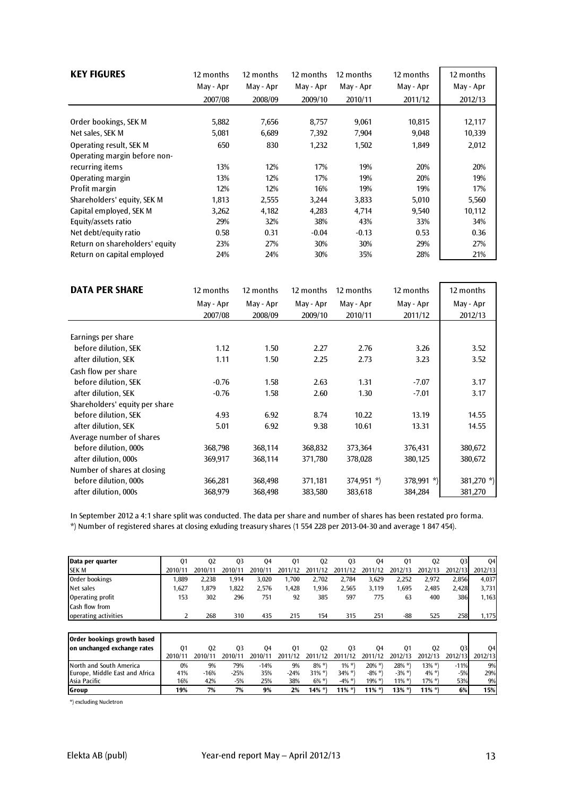| <b>KEY FIGURES</b>             | 12 months | 12 months | 12 months | 12 months | 12 months | 12 months |
|--------------------------------|-----------|-----------|-----------|-----------|-----------|-----------|
|                                | May - Apr | May - Apr | May - Apr | May - Apr | May - Apr | May - Apr |
|                                | 2007/08   | 2008/09   | 2009/10   | 2010/11   | 2011/12   | 2012/13   |
|                                |           |           |           |           |           |           |
| Order bookings, SEK M          | 5,882     | 7,656     | 8,757     | 9,061     | 10,815    | 12,117    |
| Net sales, SEK M               | 5,081     | 6,689     | 7,392     | 7,904     | 9,048     | 10,339    |
| Operating result, SEK M        | 650       | 830       | 1,232     | 1,502     | 1,849     | 2,012     |
| Operating margin before non-   |           |           |           |           |           |           |
| recurring items                | 13%       | 12%       | 17%       | 19%       | 20%       | 20%       |
| Operating margin               | 13%       | 12%       | 17%       | 19%       | 20%       | 19%       |
| Profit margin                  | 12%       | 12%       | 16%       | 19%       | 19%       | 17%       |
| Shareholders' equity, SEK M    | 1,813     | 2,555     | 3,244     | 3,833     | 5,010     | 5,560     |
| Capital employed, SEK M        | 3,262     | 4,182     | 4,283     | 4.714     | 9,540     | 10,112    |
| Equity/assets ratio            | 29%       | 32%       | 38%       | 43%       | 33%       | 34%       |
| Net debt/equity ratio          | 0.58      | 0.31      | $-0.04$   | $-0.13$   | 0.53      | 0.36      |
| Return on shareholders' equity | 23%       | 27%       | 30%       | 30%       | 29%       | 27%       |
| Return on capital employed     | 24%       | 24%       | 30%       | 35%       | 28%       | 21%       |

| <b>DATA PER SHARE</b>          | 12 months | 12 months | 12 months | 12 months    | 12 months  | 12 months  |
|--------------------------------|-----------|-----------|-----------|--------------|------------|------------|
|                                | May - Apr | May - Apr | May - Apr | May - Apr    | May - Apr  | May - Apr  |
|                                | 2007/08   | 2008/09   | 2009/10   | 2010/11      | 2011/12    | 2012/13    |
|                                |           |           |           |              |            |            |
| Earnings per share             |           |           |           |              |            |            |
| before dilution, SEK           | 1.12      | 1.50      | 2.27      | 2.76         | 3.26       | 3.52       |
| after dilution, SEK            | 1.11      | 1.50      | 2.25      | 2.73         | 3.23       | 3.52       |
| Cash flow per share            |           |           |           |              |            |            |
| before dilution, SEK           | $-0.76$   | 1.58      | 2.63      | 1.31         | $-7.07$    | 3.17       |
| after dilution, SEK            | $-0.76$   | 1.58      | 2.60      | 1.30         | $-7.01$    | 3.17       |
| Shareholders' equity per share |           |           |           |              |            |            |
| before dilution, SEK           | 4.93      | 6.92      | 8.74      | 10.22        | 13.19      | 14.55      |
| after dilution, SEK            | 5.01      | 6.92      | 9.38      | 10.61        | 13.31      | 14.55      |
| Average number of shares       |           |           |           |              |            |            |
| before dilution, 000s          | 368,798   | 368,114   | 368,832   | 373,364      | 376,431    | 380,672    |
| after dilution, 000s           | 369,917   | 368,114   | 371,780   | 378,028      | 380,125    | 380,672    |
| Number of shares at closing    |           |           |           |              |            |            |
| before dilution, 000s          | 366,281   | 368,498   | 371,181   | $374,951$ *) | 378,991 *) | 381,270 *) |
| after dilution, 000s           | 368,979   | 368,498   | 383,580   | 383,618      | 384,284    | 381,270    |

In September 2012 a 4:1 share split was conducted. The data per share and number of shares has been restated pro forma.

\*) Number of registered shares at closing exluding treasury shares (1 554 228 per 2013-04-30 and average 1 847 454).

| Data per quarter      | 01      | 02      | 03      | 04      | 01      | 02      | 03      | 04      | 01      | 02      | 03      | 04      |
|-----------------------|---------|---------|---------|---------|---------|---------|---------|---------|---------|---------|---------|---------|
| <b>SEK M</b>          | 2010/11 | 2010/11 | 2010/11 | 2010/11 | 2011/12 | 2011/12 | 2011/12 | 2011/12 | 2012/13 | 2012/13 | 2012/13 | 2012/13 |
| Order bookings        | .889    | 2.238   | .914    | 3.020   | .700    | 2.702   | 2.784   | 3.629   | 2.252   | 2.972   | 2,856   | 4.037   |
| Net sales             | .627    | .879    | .822    | 2.576   | 1,428   | .936    | 2,565   | 3,119   | .695    | 2,485   | 2.428   | 3,731   |
| Operating profit      | 153     | 302     | 296     | 751     | 92      | 385     | 597     | 775     | 63      | 400     | 386     | 1,163   |
| <b>Cash flow from</b> |         |         |         |         |         |         |         |         |         |         |         |         |
| operating activities  |         | 268     | 310     | 435     | 215     | 154     | 315     | 251     | -88     | 525     | 258     | 1.175   |

| Order bookings growth based    |         |         |         |         |         |          |          |           |           |           |         |         |
|--------------------------------|---------|---------|---------|---------|---------|----------|----------|-----------|-----------|-----------|---------|---------|
| on unchanged exchange rates    | 01      | 02      | 03      | 04      | 01      | 02       | 03       | 04        | 01        | 02        | O3I     | 04      |
|                                | 2010/11 | 2010/11 | 2010/11 | 2010/11 | 2011/12 | 2011/12  | 2011/12  | 2011/12   | 2012/13   | 2012/13   | 2012/13 | 2012/13 |
| North and South America        | 0%      | 9%      | 79%     | $-14%$  | 9%      | $8\% *$  | $1\%$ *) | $20\%$ *) | $28\%$ *  | $13\%$ *) | $-11%$  | 9%      |
| Europe, Middle East and Africa | 41%     | $-16%$  | $-25%$  | 35%     | -24%    | $31\%$ * | $34\%$ * | $-8\% *$  | $-3\%$ *) | $4\%$ *)  | $-5%$   | 29%     |
| lAsia Pacific                  | 16%     | 42%     | $-5%$   | 25%     | 38%     | $6\% *$  | $-4\% *$ | 19% *)    | $11\%$ *  | $17\%$ *) | 53%     | 9%      |
| Group                          | 19%     | 7%      | 7%      | 9%      | 2%      | 14% *)   | $11\%$ * | $11\%$ *) | 13% *)    | $11\%$ *) | 6%      | 15%     |

\*) excluding Nucletron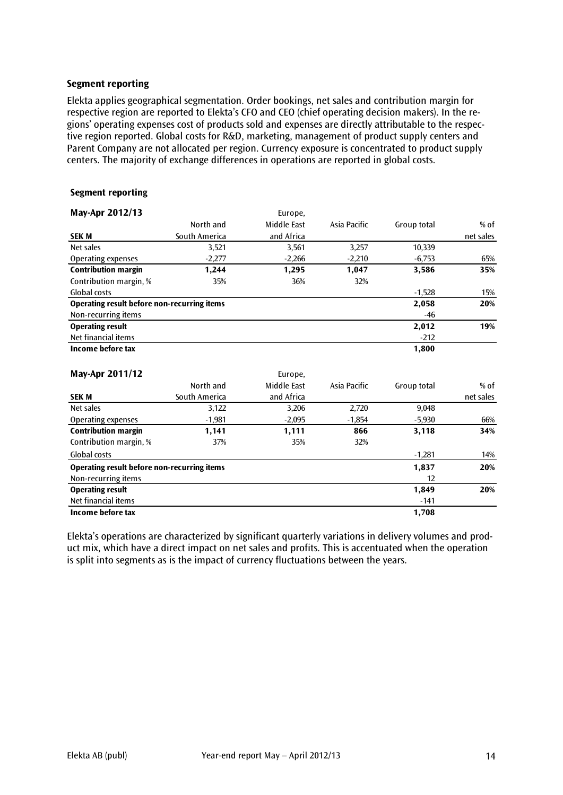#### **Segment reporting**

Elekta applies geographical segmentation. Order bookings, net sales and contribution margin for respective region are reported to Elekta's CFO and CEO (chief operating decision makers). In the regions' operating expenses cost of products sold and expenses are directly attributable to the respective region reported. Global costs for R&D, marketing, management of product supply centers and Parent Company are not allocated per region. Currency exposure is concentrated to product supply centers. The majority of exchange differences in operations are reported in global costs.

#### **Segment reporting**

| May-Apr 2012/13                             |               | Europe,     |              |             |           |
|---------------------------------------------|---------------|-------------|--------------|-------------|-----------|
|                                             | North and     | Middle East | Asia Pacific | Group total | $%$ of    |
| <b>SEKM</b>                                 | South America | and Africa  |              |             | net sales |
| Net sales                                   | 3,521         | 3,561       | 3,257        | 10,339      |           |
| Operating expenses                          | $-2,277$      | $-2,266$    | $-2,210$     | $-6,753$    | 65%       |
| <b>Contribution margin</b>                  | 1.244         | 1,295       | 1,047        | 3,586       | 35%       |
| Contribution margin, %                      | 35%           | 36%         | 32%          |             |           |
| Global costs                                |               |             |              | $-1,528$    | 15%       |
| Operating result before non-recurring items |               |             |              | 2,058       | 20%       |
| Non-recurring items                         |               |             |              | -46         |           |
| <b>Operating result</b>                     |               |             |              | 2,012       | 19%       |
| Net financial items                         |               |             |              | $-212$      |           |
| Income before tax                           |               |             |              | 1,800       |           |

| May-Apr 2011/12                             |               | Europe.     |              |             |           |
|---------------------------------------------|---------------|-------------|--------------|-------------|-----------|
|                                             | North and     | Middle East | Asia Pacific | Group total | $%$ of    |
| <b>SEK M</b>                                | South America | and Africa  |              |             | net sales |
| Net sales                                   | 3,122         | 3,206       | 2,720        | 9,048       |           |
| Operating expenses                          | $-1,981$      | $-2,095$    | $-1,854$     | $-5,930$    | 66%       |
| <b>Contribution margin</b>                  | 1,141         | 1,111       | 866          | 3,118       | 34%       |
| Contribution margin, %                      | 37%           | 35%         | 32%          |             |           |
| Global costs                                |               |             |              | $-1.281$    | 14%       |
| Operating result before non-recurring items |               |             | 1,837        | 20%         |           |
| Non-recurring items                         |               |             |              | 12          |           |
| <b>Operating result</b>                     |               |             |              | 1,849       | 20%       |
| Net financial items                         |               |             |              | $-141$      |           |
| Income before tax                           |               |             |              | 1,708       |           |

Elekta's operations are characterized by significant quarterly variations in delivery volumes and product mix, which have a direct impact on net sales and profits. This is accentuated when the operation is split into segments as is the impact of currency fluctuations between the years.